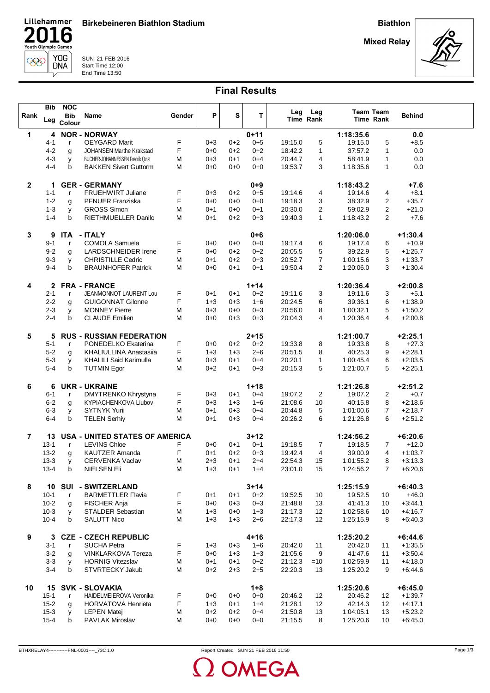Birkebeineren Biathlon Stadium

Biathlon

Mixed Relay

n



Lillehammer

 $\Box$ 

∕

000

**16** 

 $\overline{V}$ 

SUN 21 FEB 2016 Start Time 12:00

## Final Results

|                | Bib          | <b>NOC</b>   |                                       |        |         |         |          | Leg     | Leg          |           | Team Team      |               |  |
|----------------|--------------|--------------|---------------------------------------|--------|---------|---------|----------|---------|--------------|-----------|----------------|---------------|--|
| Rank           |              | <b>Bib</b>   | Name                                  | Gender | P       | S       | T        |         | Time Rank    |           | Time Rank      | <b>Behind</b> |  |
|                | Leg          | Colour       |                                       |        |         |         |          |         |              |           |                |               |  |
| 1              | 4            |              | <b>NOR - NORWAY</b>                   |        |         |         | $0 + 11$ |         |              | 1:18:35.6 |                | 0.0           |  |
|                | $4 - 1$      | $\mathsf{r}$ | <b>OEYGARD Marit</b>                  | F      | $0 + 3$ | $0 + 2$ | $0 + 5$  | 19:15.0 | 5            | 19:15.0   | 5              | $+8.5$        |  |
|                | 4-2          |              | <b>JOHANSEN Marthe Krakstad</b>       | F      | $0 + 0$ | $0+2$   | $0 + 2$  | 18:42.2 | 1            | 37:57.2   | $\mathbf{1}$   | 0.0           |  |
|                |              | g            |                                       |        |         |         |          |         |              |           |                |               |  |
|                | $4 - 3$      | y            | BUCHER-JOHANNESSEN Fredrik Qvist      | M      | $0 + 3$ | $0 + 1$ | $0 + 4$  | 20:44.7 | 4            | 58:41.9   | $\mathbf{1}$   | 0.0           |  |
|                | $4 - 4$      | b            | <b>BAKKEN Sivert Guttorm</b>          | М      | $0 + 0$ | $0 + 0$ | $0 + 0$  | 19:53.7 | 3            | 1:18:35.6 | $\mathbf{1}$   | 0.0           |  |
|                |              |              |                                       |        |         |         |          |         |              |           |                |               |  |
| $\mathbf{2}$   | 1            |              | <b>GER - GERMANY</b>                  |        |         |         | $0 + 9$  |         |              | 1:18:43.2 |                | $+7.6$        |  |
|                | $1 - 1$      | $\mathsf{r}$ | <b>FRUEHWIRT Juliane</b>              | F      | $0 + 3$ | $0+2$   | $0 + 5$  | 19:14.6 | 4            | 19:14.6   | 4              | $+8.1$        |  |
|                | $1 - 2$      | g            | <b>PFNUER Franziska</b>               | F      | $0 + 0$ | $0 + 0$ | $0 + 0$  | 19:18.3 | 3            | 38:32.9   | 2              | $+35.7$       |  |
|                | 1-3          | y            | <b>GROSS Simon</b>                    | M      | $0 + 1$ | $0 + 0$ | $0 + 1$  | 20:30.0 | 2            | 59:02.9   | $\overline{2}$ | $+21.0$       |  |
|                | $1 - 4$      | b            | RIETHMUELLER Danilo                   | М      | $0 + 1$ | $0+2$   | $0 + 3$  | 19:40.3 | $\mathbf{1}$ | 1:18:43.2 | $\overline{2}$ | $+7.6$        |  |
|                |              |              |                                       |        |         |         |          |         |              |           |                |               |  |
| 3              | 9            | <b>ITA</b>   | - ITALY                               |        |         |         | $0 + 6$  |         |              | 1:20:06.0 |                | $+1:30.4$     |  |
|                | $9 - 1$      | $\mathsf{r}$ | COMOLA Samuela                        | F      | $0 + 0$ | $0 + 0$ | $0 + 0$  | 19:17.4 | 6            | 19:17.4   | 6              | $+10.9$       |  |
|                | $9 - 2$      |              | LARDSCHNEIDER Irene                   | F      | $0 + 0$ | $0 + 2$ | $0 + 2$  | 20:05.5 | 5            | 39:22.9   | 5              | $+1:25.7$     |  |
|                |              | g            |                                       |        |         |         |          |         |              |           |                |               |  |
|                | $9 - 3$      | У            | <b>CHRISTILLE Cedric</b>              | М      | $0 + 1$ | $0 + 2$ | $0 + 3$  | 20:52.7 | 7            | 1:00:15.6 | 3              | $+1:33.7$     |  |
|                | $9 - 4$      | b            | <b>BRAUNHOFER Patrick</b>             | M      | $0 + 0$ | $0 + 1$ | $0 + 1$  | 19:50.4 | 2            | 1:20:06.0 | 3              | $+1:30.4$     |  |
|                |              |              |                                       |        |         |         |          |         |              |           |                |               |  |
| 4              | $\mathbf{2}$ |              | <b>FRA - FRANCE</b>                   |        |         |         | $1 + 14$ |         |              | 1:20:36.4 |                | $+2:00.8$     |  |
|                | $2 - 1$      | $\mathsf{r}$ | JEANMONNOT LAURENT Lou                | F      | $0 + 1$ | $0 + 1$ | $0 + 2$  | 19:11.6 | 3            | 19:11.6   | 3              | $+5.1$        |  |
|                | $2 - 2$      | g            | <b>GUIGONNAT Gilonne</b>              | F      | $1 + 3$ | $0 + 3$ | $1 + 6$  | 20:24.5 | 6            | 39:36.1   | 6              | $+1.38.9$     |  |
|                | $2 - 3$      | y            | <b>MONNEY Pierre</b>                  | M      | $0 + 3$ | $0 + 0$ | $0 + 3$  | 20:56.0 | 8            | 1:00:32.1 | 5              | $+1:50.2$     |  |
|                | $2 - 4$      | b            | <b>CLAUDE Emilien</b>                 | M      | $0 + 0$ | $0 + 3$ | $0 + 3$  | 20:04.3 | 4            | 1:20:36.4 | 4              | $+2:00.8$     |  |
|                |              |              |                                       |        |         |         |          |         |              |           |                |               |  |
| 5              | 5            |              | <b>RUS - RUSSIAN FEDERATION</b>       |        |         |         | $2 + 15$ |         |              | 1:21:00.7 |                | $+2:25.1$     |  |
|                | $5 - 1$      | $\mathsf{r}$ | PONEDELKO Ekaterina                   | F      | $0 + 0$ | $0 + 2$ | $0 + 2$  | 19:33.8 | 8            | 19:33.8   | 8              | $+27.3$       |  |
|                | $5 - 2$      | g            | KHALIULLINA Anastasiia                | F      | $1 + 3$ | $1 + 3$ | $2 + 6$  | 20:51.5 | 8            | 40:25.3   | 9              | $+2:28.1$     |  |
|                | $5 - 3$      | y            | <b>KHALILI Said Karimulla</b>         | M      | $0 + 3$ | $0 + 1$ | $0 + 4$  | 20:20.1 | $\mathbf{1}$ | 1:00:45.4 | 6              | $+2:03.5$     |  |
|                | $5 - 4$      | b            | <b>TUTMIN Egor</b>                    | M      | $0 + 2$ | $0 + 1$ | $0 + 3$  | 20:15.3 | 5            | 1:21:00.7 | 5              | $+2:25.1$     |  |
|                |              |              |                                       |        |         |         |          |         |              |           |                |               |  |
|                |              |              |                                       |        |         |         |          |         |              |           |                |               |  |
| 6              | 6            |              | <b>UKR - UKRAINE</b>                  |        |         |         | $1 + 18$ |         |              | 1:21:26.8 |                | $+2:51.2$     |  |
|                | $6 - 1$      | $\mathsf{r}$ | DMYTRENKO Khrystyna                   | F      | $0 + 3$ | $0 + 1$ | $0 + 4$  | 19:07.2 | 2            | 19:07.2   | $\overline{2}$ | $+0.7$        |  |
|                | $6 - 2$      | g            | <b>KYPIACHENKOVA Liubov</b>           | F      | $0 + 3$ | $1 + 3$ | $1 + 6$  | 21:08.6 | 10           | 40:15.8   | 8              | $+2:18.6$     |  |
|                | $6 - 3$      | У            | <b>SYTNYK Yurii</b>                   | M      | $0 + 1$ | $0 + 3$ | $0 + 4$  | 20:44.8 | 5            | 1:01:00.6 | $\overline{7}$ | $+2:18.7$     |  |
|                | $6 - 4$      | b            | <b>TELEN Serhiy</b>                   | M      | $0 + 1$ | $0 + 3$ | $0 + 4$  | 20:26.2 | 6            | 1:21:26.8 | 6              | $+2:51.2$     |  |
|                |              |              |                                       |        |         |         |          |         |              |           |                |               |  |
| $\overline{7}$ | 13           |              | <b>USA - UNITED STATES OF AMERICA</b> |        |         |         | $3 + 12$ |         |              | 1:24:56.2 |                | $+6:20.6$     |  |
|                | $13 - 1$     | $\mathsf{r}$ | <b>LEVINS Chloe</b>                   | F      | $0 + 0$ | $0 + 1$ | $0 + 1$  | 19:18.5 | 7            | 19:18.5   | 7              | $+12.0$       |  |
|                | $13 - 2$     | g            | <b>KAUTZER Amanda</b>                 | F      | $0 + 1$ | $0 + 2$ | $0 + 3$  | 19:42.4 | 4            | 39:00.9   | 4              | $+1:03.7$     |  |
|                | $13 - 3$     | y            | <b>CERVENKA Vaclav</b>                | M      | $2 + 3$ | $0 + 1$ | $2 + 4$  | 22:54.3 | 15           | 1:01:55.2 | 8              | $+3:13.3$     |  |
|                | $13 - 4$     | b            | NIELSEN EII                           | M      | $1 + 3$ | $0 + 1$ | $1 + 4$  | 23:01.0 | 15           | 1:24:56.2 | $\overline{7}$ | $+6.20.6$     |  |
|                |              |              |                                       |        |         |         |          |         |              |           |                |               |  |
| 8              |              |              | 10 SUI - SWITZERLAND                  |        |         |         | $3 + 14$ |         |              | 1:25:15.9 |                | $+6:40.3$     |  |
|                | $10 - 1$     | $\mathsf{r}$ | <b>BARMETTLER Flavia</b>              | F      | 0+1     | $0 + 1$ | $0 + 2$  | 19:52.5 | 10           | 19:52.5   | 10             | $+46.0$       |  |
|                | $10 - 2$     | g            | FISCHER Anja                          | F      | $0 + 0$ | $0 + 3$ | $0 + 3$  | 21:48.8 | 13           | 41:41.3   | 10             | $+3:44.1$     |  |
|                | $10-3$       |              | <b>STALDER Sebastian</b>              | Μ      | $1 + 3$ | $0 + 0$ | $1 + 3$  | 21:17.3 | 12           | 1:02:58.6 | 10             | $+4:16.7$     |  |
|                | $10 - 4$     | У<br>b       | <b>SALUTT Nico</b>                    | M      | $1 + 3$ | $1 + 3$ | $2 + 6$  | 22:17.3 | 12           | 1:25:15.9 | 8              | $+6.40.3$     |  |
|                |              |              |                                       |        |         |         |          |         |              |           |                |               |  |
|                |              |              |                                       |        |         |         |          |         |              |           |                |               |  |
| 9              | 3            |              | <b>CZE - CZECH REPUBLIC</b>           |        |         |         | $4 + 16$ |         |              | 1:25:20.2 |                | $+6:44.6$     |  |
|                | $3 - 1$      | $\mathsf{r}$ | <b>SUCHA Petra</b>                    | F      | $1 + 3$ | $0 + 3$ | $1 + 6$  | 20:42.0 | 11           | 20:42.0   | 11             | $+1.35.5$     |  |
|                | $3 - 2$      | g            | <b>VINKLARKOVA Tereza</b>             | F      | $0 + 0$ | $1 + 3$ | $1 + 3$  | 21:05.6 | 9            | 41:47.6   | 11             | $+3.50.4$     |  |
|                | $3-3$        | v            | <b>HORNIG Vitezslav</b>               | M      | $0 + 1$ | $0 + 1$ | $0 + 2$  | 21:12.3 | $=10$        | 1:02:59.9 | 11             | $+4:18.0$     |  |
|                | $3-4$        | b            | STVRTECKY Jakub                       | M      | $0+2$   | $2 + 3$ | $2 + 5$  | 22:20.3 | 13           | 1:25:20.2 | 9              | $+6.44.6$     |  |
|                |              |              |                                       |        |         |         |          |         |              |           |                |               |  |
| 10             | 15           |              | <b>SVK - SLOVAKIA</b>                 |        |         |         | $1 + 8$  |         |              | 1:25:20.6 |                | $+6:45.0$     |  |
|                | $15 - 1$     | $\mathsf{r}$ | HAIDELMEIEROVA Veronika               | F      | $0 + 0$ | $0 + 0$ | $0 + 0$  | 20:46.2 | 12           | 20:46.2   | 12             | $+1:39.7$     |  |
|                | $15 - 2$     | g            | <b>HORVATOVA Henrieta</b>             | F      | $1 + 3$ | $0 + 1$ | $1+4$    | 21:28.1 | 12           | 42:14.3   | 12             | $+4:17.1$     |  |
|                | $15-3$       | y            | <b>LEPEN Matej</b>                    | Μ      | $0+2$   | $0 + 2$ | $0 + 4$  | 21:50.8 | 13           | 1:04:05.1 | 13             | $+5:23.2$     |  |
|                | $15 - 4$     | b            | <b>PAVLAK Miroslav</b>                | М      | $0 + 0$ | $0 + 0$ | $0+0$    | 21:15.5 | 8            | 1:25:20.6 | 10             | $+6.45.0$     |  |
|                |              |              |                                       |        |         |         |          |         |              |           |                |               |  |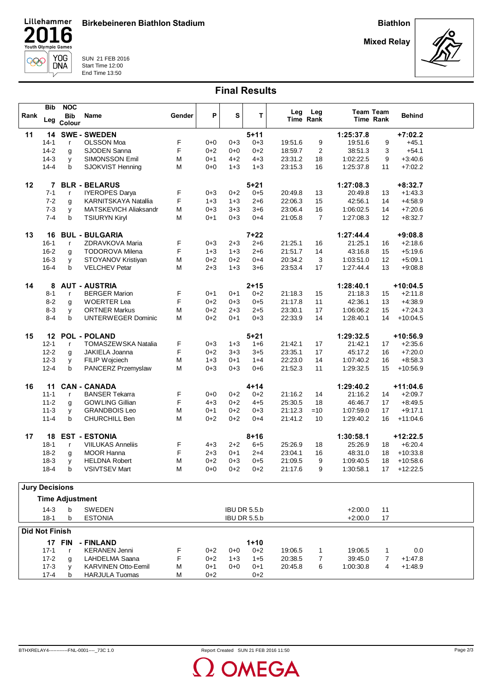Birkebeineren Biathlon Stadium

Biathlon

Mixed Relay



SUN 21 FEB 2016 Start Time 12:00 End Time 13:50

Lillehammer

Youth Olympic Games

**16** [ ]

YOG<br>DNA

 $\overline{\nu}$ 

 $\overline{2}$ 

000

|                       | Bib                  | <b>NOC</b>             |                                                 |        |                    |                    |                     | Leg                | Leg            |                      | <b>Team Team</b>  |                        |  |
|-----------------------|----------------------|------------------------|-------------------------------------------------|--------|--------------------|--------------------|---------------------|--------------------|----------------|----------------------|-------------------|------------------------|--|
| Rank                  | Leg                  | <b>Bib</b><br>Colour   | Name                                            | Gender | P                  | S                  | T                   |                    | Time Rank      |                      | <b>Time Rank</b>  | <b>Behind</b>          |  |
| 11                    | 14                   |                        | <b>SWE - SWEDEN</b>                             |        |                    |                    | $5 + 11$            |                    |                | 1:25:37.8            |                   | $+7:02.2$              |  |
|                       | $14-1$               | $\mathsf{r}$           | <b>OLSSON Moa</b>                               | F      | $0 + 0$            | 0+3                | $0 + 3$             | 19:51.6            | 9              | 19:51.6              | 9                 | $+45.1$                |  |
|                       | $14-2$               | g                      | SJODEN Sanna                                    | F      | $0 + 2$            | $0 + 0$            | $0 + 2$             | 18:59.7            | 2              | 38:51.3              | 3                 | $+54.1$                |  |
|                       | $14-3$               | y                      | SIMONSSON Emil                                  | M      | $0 + 1$            | 4+2                | $4 + 3$             | 23:31.2            | 18             | 1:02:22.5            | 9                 | $+3:40.6$              |  |
|                       | $14 - 4$             | b                      | SJOKVIST Henning                                | M      | $0 + 0$            | $1 + 3$            | $1 + 3$             | 23:15.3            | 16             | 1:25:37.8            | 11                | $+7:02.2$              |  |
| 12                    | 7                    |                        | <b>BLR - BELARUS</b>                            |        |                    |                    | $5 + 21$            |                    |                | 1:27:08.3            |                   | $+8:32.7$              |  |
|                       | $7 - 1$              | $\mathsf{r}$           | <b>IYEROPES Darya</b>                           | F      | $0 + 3$            | $0 + 2$            | $0 + 5$             | 20:49.8            | 13             | 20:49.8              | 13                | $+1.43.3$              |  |
|                       | $7 - 2$              | g                      | KARNITSKAYA Natallia                            | F      | $1 + 3$            | $1 + 3$            | $2 + 6$             | 22:06.3            | 15             | 42:56.1              | 14                | $+4.58.9$              |  |
|                       | $7 - 3$              | y                      | MATSKEVICH Aliaksandr                           | M      | $0 + 3$            | $3 + 3$            | $3 + 6$             | 23:06.4            | 16             | 1:06:02.5            | 14                | $+7:20.6$              |  |
|                       | $7 - 4$              | b                      | <b>TSIURYN Kiryl</b>                            | M      | $0 + 1$            | $0 + 3$            | $0 + 4$             | 21:05.8            | $\overline{7}$ | 1:27:08.3            | $12 \overline{ }$ | $+8.32.7$              |  |
|                       |                      |                        |                                                 |        |                    |                    |                     |                    |                |                      |                   |                        |  |
| 13                    | 16                   |                        | <b>BUL - BULGARIA</b>                           |        |                    |                    | $7 + 22$            |                    |                | 1:27:44.4            |                   | $+9:08.8$              |  |
|                       | $16 - 1$             | $\mathbf{r}$           | ZDRAVKOVA Maria                                 | F      | $0 + 3$            | 2+3                | $2 + 6$             | 21:25.1            | 16             | 21:25.1              | 16                | $+2:18.6$              |  |
|                       | $16 - 2$             | g                      | <b>TODOROVA Milena</b>                          | F      | $1 + 3$            | $1 + 3$            | $2 + 6$             | 21:51.7            | 14             | 43:16.8              | 15                | $+5:19.6$              |  |
|                       | $16 - 3$             | у                      | STOYANOV Kristiyan                              | M      | $0 + 2$            | $0 + 2$            | $0 + 4$             | 20:34.2            | 3              | 1:03:51.0            | 12                | $+5:09.1$              |  |
|                       | $16 - 4$             | b                      | <b>VELCHEV Petar</b>                            | M      | $2 + 3$            | $1 + 3$            | $3 + 6$             | 23.53.4            | 17             | 1:27:44.4            | 13                | $+9.08.8$              |  |
|                       |                      |                        |                                                 |        |                    |                    |                     |                    |                |                      |                   |                        |  |
| 14                    | 8                    |                        | <b>AUT - AUSTRIA</b><br><b>BERGER Marion</b>    |        | $0 + 1$            |                    | $2 + 15$            |                    |                | 1:28:40.1<br>21:18.3 |                   | $+10:04.5$             |  |
|                       | $8 - 1$<br>$8 - 2$   | $\mathsf{r}$           | <b>WOERTER Lea</b>                              | F<br>F | $0 + 2$            | $0 + 1$<br>$0 + 3$ | $0 + 2$<br>$0 + 5$  | 21:18.3<br>21:17.8 | 15<br>11       | 42:36.1              | 15<br>13          | $+2:11.8$<br>$+4:38.9$ |  |
|                       | $8 - 3$              | g                      | <b>ORTNER Markus</b>                            | M      | $0 + 2$            | 2+3                | $2 + 5$             | 23:30.1            | 17             | 1:06:06.2            | 15                | $+7:24.3$              |  |
|                       | $8 - 4$              | y<br>b                 | <b>UNTERWEGER Dominic</b>                       | M      | $0+2$              | $0 + 1$            | $0 + 3$             | 22:33.9            | 14             | 1:28:40.1            | 14                | $+10:04.5$             |  |
|                       |                      |                        |                                                 |        |                    |                    |                     |                    |                |                      |                   |                        |  |
| 15                    | 12                   |                        | <b>POL - POLAND</b>                             |        |                    |                    | $5 + 21$            |                    |                | 1:29:32.5            |                   | $+10:56.9$             |  |
|                       | $12 - 1$             | $\mathsf{r}$           | TOMASZEWSKA Natalia                             | F      | $0 + 3$            | $1 + 3$            | $1 + 6$             | 21:42.1            | 17             | 21:42.1              | 17                | $+2:35.6$              |  |
|                       | $12 - 2$             | g                      | JAKIELA Joanna                                  | F      | $0 + 2$            | $3 + 3$            | $3 + 5$             | 23:35.1            | 17             | 45:17.2              | 16                | $+7:20.0$              |  |
|                       | $12 - 3$             | У                      | FILIP Wojciech                                  | M      | $1 + 3$            | $0 + 1$            | $1+4$               | 22:23.0            | 14             | 1:07:40.2            | 16                | $+8:58.3$              |  |
|                       | $12 - 4$             | b                      | PANCERZ Przemyslaw                              | M      | $0 + 3$            | $0 + 3$            | $0 + 6$             | 21:52.3            | 11             | 1:29:32.5            | 15                | $+10:56.9$             |  |
|                       |                      |                        |                                                 |        |                    |                    |                     |                    |                |                      |                   |                        |  |
| 16                    | 11                   |                        | <b>CAN - CANADA</b>                             |        |                    |                    | $4 + 14$            |                    |                | 1:29:40.2            |                   | $+11:04.6$             |  |
|                       | $11 - 1$<br>$11 - 2$ | $\mathsf{r}$           | <b>BANSER Tekarra</b><br><b>GOWLING Gillian</b> | F<br>F | $0 + 0$<br>$4 + 3$ | $0 + 2$<br>$0 + 2$ | $0 + 2$<br>$4 + 5$  | 21:16.2<br>25:30.5 | 14<br>18       | 21:16.2<br>46:46.7   | 14                | $+2:09.7$<br>$+8.49.5$ |  |
|                       | $11 - 3$             | g                      | <b>GRANDBOIS Leo</b>                            | M      | $0 + 1$            | $0 + 2$            | $0 + 3$             | 21:12.3            | $=10$          | 1:07:59.0            | 17<br>17          | $+9:17.1$              |  |
|                       | $11 - 4$             | y<br>b                 | CHURCHILL Ben                                   | M      | $0 + 2$            | $0 + 2$            | $0 + 4$             | 21:41.2            | 10             | 1:29:40.2            | 16                | $+11:04.6$             |  |
|                       |                      |                        |                                                 |        |                    |                    |                     |                    |                |                      |                   |                        |  |
| 17                    | 18                   |                        | <b>EST - ESTONIA</b>                            |        |                    |                    | $8 + 16$            |                    |                | 1:30:58.1            |                   | $+12:22.5$             |  |
|                       | $18-1$               | $\mathsf{r}$           | <b>VIILUKAS Anneliis</b>                        | F      | $4 + 3$            | 2+2                | $6 + 5$             | 25:26.9            | 18             | 25:26.9              | 18                | $+6:20.4$              |  |
|                       | $18-2$               | g                      | <b>MOOR Hanna</b>                               | F      | $2 + 3$            | $0 + 1$            | $2+4$               | 23:04.1            | 16             | 48:31.0              | 18                | $+10:33.8$             |  |
|                       | $18-3$               | у                      | <b>HELDNA Robert</b>                            | M      | $0+2$              | $0 + 3$            | $0 + 5$             | 21:09.5            | 9              | 1:09:40.5            | 18                | $+10:58.6$             |  |
|                       | $18-4$               | b                      | <b>VSIVTSEV Mart</b>                            | M      | $0 + 0$            | $0 + 2$            | $0 + 2$             | 21:17.6            | 9              | 1:30:58.1            | 17                | $+12:22.5$             |  |
|                       |                      |                        |                                                 |        |                    |                    |                     |                    |                |                      |                   |                        |  |
| <b>Jury Decisions</b> |                      |                        |                                                 |        |                    |                    |                     |                    |                |                      |                   |                        |  |
|                       |                      | <b>Time Adjustment</b> |                                                 |        |                    |                    |                     |                    |                |                      |                   |                        |  |
|                       | $14-3$               | b                      | <b>SWEDEN</b>                                   |        |                    |                    | <b>IBU DR 5.5.b</b> |                    |                | $+2:00.0$            | 11                |                        |  |
|                       | $18-1$               | b                      | <b>ESTONIA</b>                                  |        |                    |                    | <b>IBU DR 5.5.b</b> |                    |                | $+2:00.0$            | 17                |                        |  |
| <b>Did Not Finish</b> |                      |                        |                                                 |        |                    |                    |                     |                    |                |                      |                   |                        |  |
|                       |                      | <b>17 FIN</b>          | - FINLAND                                       |        |                    |                    | $1 + 10$            |                    |                |                      |                   |                        |  |
|                       | $17-1$               | $\mathsf{r}$           | <b>KERANEN Jenni</b>                            | F      | $0 + 2$            | $0 + 0$            | $0 + 2$             | 19:06.5            | 1              | 19:06.5              | 1                 | 0.0                    |  |
|                       | $17 - 2$             | g                      | LAHDELMA Saana                                  | F      | $0+2$              | $1 + 3$            | $1+5$               | 20:38.5            | 7              | 39:45.0              | $\overline{7}$    | $+1.47.8$              |  |
|                       | $17-3$               | y                      | <b>KARVINEN Otto-Eemil</b>                      | M      | $0 + 1$            | $0 + 0$            | $0 + 1$             | 20:45.8            | 6              | 1:00:30.8            | 4                 | $+1.48.9$              |  |
|                       | $17 - 4$             | b                      | <b>HARJULA Tuomas</b>                           | M      | $0 + 2$            |                    | $0 + 2$             |                    |                |                      |                   |                        |  |
|                       |                      |                        |                                                 |        |                    |                    |                     |                    |                |                      |                   |                        |  |

**OMEGA**